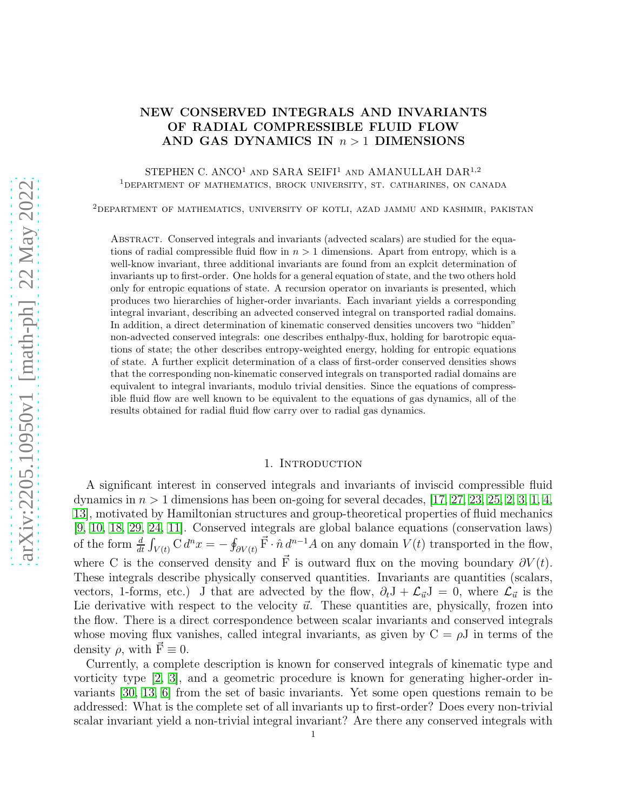# NEW CONSERVED INTEGRALS AND INVARIANTS OF RADIAL COMPRESSIBLE FLUID FLOW AND GAS DYNAMICS IN  $n > 1$  DIMENSIONS

## STEPHEN C. ANCO<sup>1</sup> AND SARA SEIFI<sup>1</sup> AND AMANULLAH DAR<sup>1,2</sup> <sup>1</sup>department of mathematics, brock university, st. catharines, on canada

<sup>2</sup>DEPARTMENT OF MATHEMATICS, UNIVERSITY OF KOTLI, AZAD JAMMU AND KASHMIR, PAKISTAN

Abstract. Conserved integrals and invariants (advected scalars) are studied for the equations of radial compressible fluid flow in  $n > 1$  dimensions. Apart from entropy, which is a well-know invariant, three additional invariants are found from an explcit determination of invariants up to first-order. One holds for a general equation of state, and the two others hold only for entropic equations of state. A recursion operator on invariants is presented, which produces two hierarchies of higher-order invariants. Each invariant yields a corresponding integral invariant, describing an advected conserved integral on transported radial domains. In addition, a direct determination of kinematic conserved densities uncovers two "hidden" non-advected conserved integrals: one describes enthalpy-flux, holding for barotropic equations of state; the other describes entropy-weighted energy, holding for entropic equations of state. A further explicit determination of a class of first-order conserved densities shows that the corresponding non-kinematic conserved integrals on transported radial domains are equivalent to integral invariants, modulo trivial densities. Since the equations of compressible fluid flow are well known to be equivalent to the equations of gas dynamics, all of the results obtained for radial fluid flow carry over to radial gas dynamics.

#### 1. INTRODUCTION

A significant interest in conserved integrals and invariants of inviscid compressible fluid dynamics in  $n > 1$  dimensions has been on-going for several decades, [\[17,](#page-16-0) [27,](#page-16-1) [23,](#page-16-2) [25,](#page-16-3) [2,](#page-15-0) [3,](#page-15-1) [1,](#page-15-2) [4,](#page-15-3) [13\]](#page-15-4), motivated by Hamiltonian structures and group-theoretical properties of fluid mechanics [\[9,](#page-15-5) [10,](#page-15-6) [18,](#page-16-4) [29,](#page-16-5) [24,](#page-16-6) [11\]](#page-15-7). Conserved integrals are global balance equations (conservation laws) of the form  $\frac{d}{dt} \int_{V(t)} C d^n x = -\oint_{\partial V(t)} \vec{F} \cdot \hat{n} d^{n-1} A$  on any domain  $V(t)$  transported in the flow, where C is the conserved density and  $\vec{F}$  is outward flux on the moving boundary  $\partial V(t)$ . These integrals describe physically conserved quantities. Invariants are quantities (scalars, vectors, 1-forms, etc.) J that are advected by the flow,  $\partial_t J + \mathcal{L}_{\vec{u}} J = 0$ , where  $\mathcal{L}_{\vec{u}}$  is the Lie derivative with respect to the velocity  $\vec{u}$ . These quantities are, physically, frozen into the flow. There is a direct correspondence between scalar invariants and conserved integrals whose moving flux vanishes, called integral invariants, as given by  $C = \rho J$  in terms of the density  $\rho$ , with  $\vec{F} \equiv 0$ .

Currently, a complete description is known for conserved integrals of kinematic type and vorticity type [\[2,](#page-15-0) [3\]](#page-15-1), and a geometric procedure is known for generating higher-order invariants [\[30,](#page-16-7) [13,](#page-15-4) [6\]](#page-15-8) from the set of basic invariants. Yet some open questions remain to be addressed: What is the complete set of all invariants up to first-order? Does every non-trivial scalar invariant yield a non-trivial integral invariant? Are there any conserved integrals with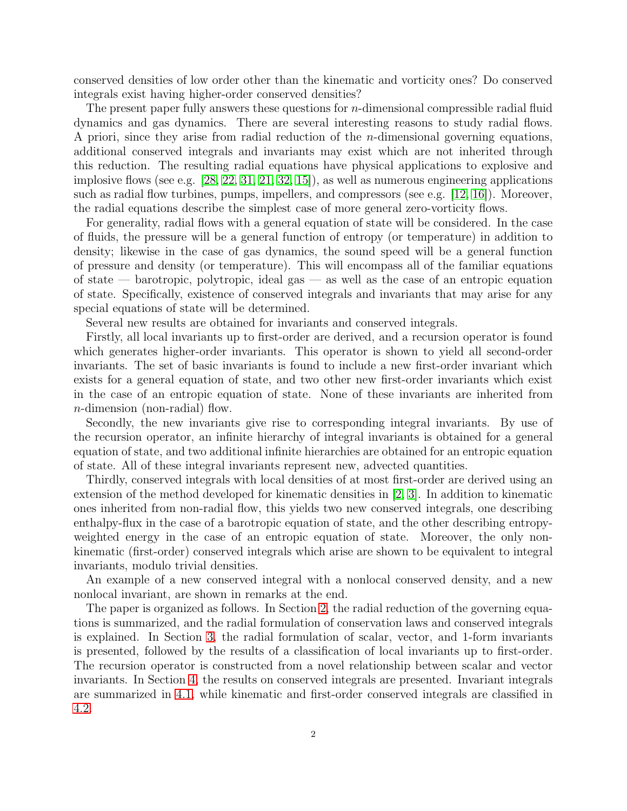conserved densities of low order other than the kinematic and vorticity ones? Do conserved integrals exist having higher-order conserved densities?

The present paper fully answers these questions for  $n$ -dimensional compressible radial fluid dynamics and gas dynamics. There are several interesting reasons to study radial flows. A priori, since they arise from radial reduction of the n-dimensional governing equations, additional conserved integrals and invariants may exist which are not inherited through this reduction. The resulting radial equations have physical applications to explosive and implosive flows (see e.g. [\[28,](#page-16-8) [22,](#page-16-9) [31,](#page-16-10) [21,](#page-16-11) [32,](#page-16-12) [15\]](#page-15-9)), as well as numerous engineering applications such as radial flow turbines, pumps, impellers, and compressors (see e.g.  $[12, 16]$  $[12, 16]$ ). Moreover, the radial equations describe the simplest case of more general zero-vorticity flows.

For generality, radial flows with a general equation of state will be considered. In the case of fluids, the pressure will be a general function of entropy (or temperature) in addition to density; likewise in the case of gas dynamics, the sound speed will be a general function of pressure and density (or temperature). This will encompass all of the familiar equations of state — barotropic, polytropic, ideal gas — as well as the case of an entropic equation of state. Specifically, existence of conserved integrals and invariants that may arise for any special equations of state will be determined.

Several new results are obtained for invariants and conserved integrals.

Firstly, all local invariants up to first-order are derived, and a recursion operator is found which generates higher-order invariants. This operator is shown to yield all second-order invariants. The set of basic invariants is found to include a new first-order invariant which exists for a general equation of state, and two other new first-order invariants which exist in the case of an entropic equation of state. None of these invariants are inherited from n-dimension (non-radial) flow.

Secondly, the new invariants give rise to corresponding integral invariants. By use of the recursion operator, an infinite hierarchy of integral invariants is obtained for a general equation of state, and two additional infinite hierarchies are obtained for an entropic equation of state. All of these integral invariants represent new, advected quantities.

Thirdly, conserved integrals with local densities of at most first-order are derived using an extension of the method developed for kinematic densities in [\[2,](#page-15-0) [3\]](#page-15-1). In addition to kinematic ones inherited from non-radial flow, this yields two new conserved integrals, one describing enthalpy-flux in the case of a barotropic equation of state, and the other describing entropyweighted energy in the case of an entropic equation of state. Moreover, the only nonkinematic (first-order) conserved integrals which arise are shown to be equivalent to integral invariants, modulo trivial densities.

An example of a new conserved integral with a nonlocal conserved density, and a new nonlocal invariant, are shown in remarks at the end.

The paper is organized as follows. In Section [2,](#page-2-0) the radial reduction of the governing equations is summarized, and the radial formulation of conservation laws and conserved integrals is explained. In Section [3,](#page-5-0) the radial formulation of scalar, vector, and 1-form invariants is presented, followed by the results of a classification of local invariants up to first-order. The recursion operator is constructed from a novel relationship between scalar and vector invariants. In Section [4,](#page-7-0) the results on conserved integrals are presented. Invariant integrals are summarized in [4.1,](#page-8-0) while kinematic and first-order conserved integrals are classified in [4.2.](#page-9-0)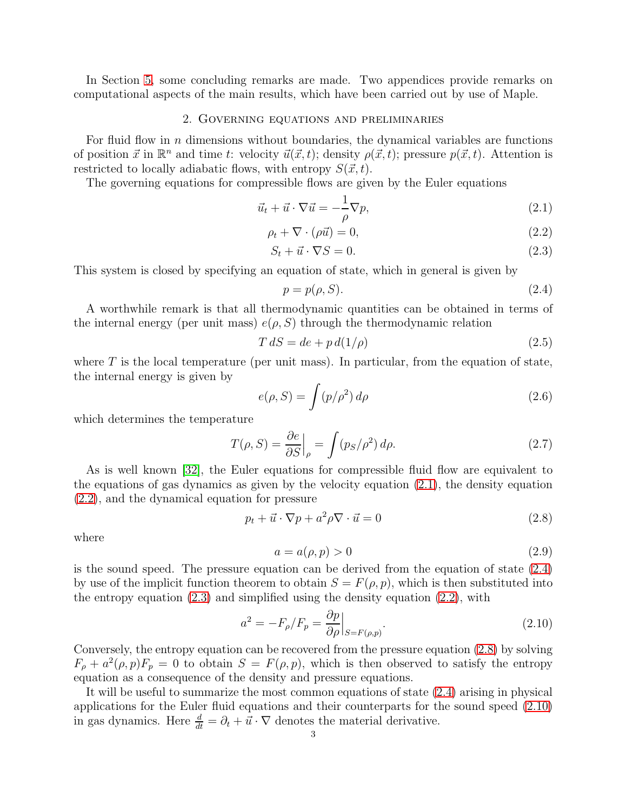<span id="page-2-0"></span>In Section [5,](#page-12-0) some concluding remarks are made. Two appendices provide remarks on computational aspects of the main results, which have been carried out by use of Maple.

#### 2. Governing equations and preliminaries

For fluid flow in  $n$  dimensions without boundaries, the dynamical variables are functions of position  $\vec{x}$  in  $\mathbb{R}^n$  and time t: velocity  $\vec{u}(\vec{x}, t)$ ; density  $\rho(\vec{x}, t)$ ; pressure  $p(\vec{x}, t)$ . Attention is restricted to locally adiabatic flows, with entropy  $S(\vec{x}, t)$ .

The governing equations for compressible flows are given by the Euler equations

$$
\vec{u}_t + \vec{u} \cdot \nabla \vec{u} = -\frac{1}{\rho} \nabla p,\tag{2.1}
$$

$$
\rho_t + \nabla \cdot (\rho \vec{u}) = 0,\tag{2.2}
$$

$$
S_t + \vec{u} \cdot \nabla S = 0. \tag{2.3}
$$

This system is closed by specifying an equation of state, which in general is given by

<span id="page-2-4"></span><span id="page-2-3"></span><span id="page-2-2"></span><span id="page-2-1"></span>
$$
p = p(\rho, S). \tag{2.4}
$$

A worthwhile remark is that all thermodynamic quantities can be obtained in terms of the internal energy (per unit mass)  $e(\rho, S)$  through the thermodynamic relation

$$
T dS = de + p d(1/\rho)
$$
\n<sup>(2.5)</sup>

where  $T$  is the local temperature (per unit mass). In particular, from the equation of state, the internal energy is given by

$$
e(\rho, S) = \int (p/\rho^2) d\rho \tag{2.6}
$$

which determines the temperature

$$
T(\rho, S) = \frac{\partial e}{\partial S}\Big|_{\rho} = \int (p_S/\rho^2) d\rho.
$$
 (2.7)

As is well known [\[32\]](#page-16-12), the Euler equations for compressible fluid flow are equivalent to the equations of gas dynamics as given by the velocity equation [\(2.1\)](#page-2-1), the density equation [\(2.2\)](#page-2-2), and the dynamical equation for pressure

<span id="page-2-5"></span>
$$
p_t + \vec{u} \cdot \nabla p + a^2 \rho \nabla \cdot \vec{u} = 0 \tag{2.8}
$$

where

<span id="page-2-7"></span>
$$
a = a(\rho, p) > 0 \tag{2.9}
$$

is the sound speed. The pressure equation can be derived from the equation of state [\(2.4\)](#page-2-3) by use of the implicit function theorem to obtain  $S = F(\rho, p)$ , which is then substituted into the entropy equation  $(2.3)$  and simplified using the density equation  $(2.2)$ , with

<span id="page-2-6"></span>
$$
a^2 = -F_{\rho}/F_p = \frac{\partial p}{\partial \rho}\Big|_{S = F(\rho, p)}.\tag{2.10}
$$

Conversely, the entropy equation can be recovered from the pressure equation [\(2.8\)](#page-2-5) by solving  $F_{\rho} + a^2(\rho, p)F_{p} = 0$  to obtain  $S = F(\rho, p)$ , which is then observed to satisfy the entropy equation as a consequence of the density and pressure equations.

It will be useful to summarize the most common equations of state [\(2.4\)](#page-2-3) arising in physical applications for the Euler fluid equations and their counterparts for the sound speed [\(2.10\)](#page-2-6) in gas dynamics. Here  $\frac{d}{dt} = \partial_t + \vec{u} \cdot \nabla$  denotes the material derivative.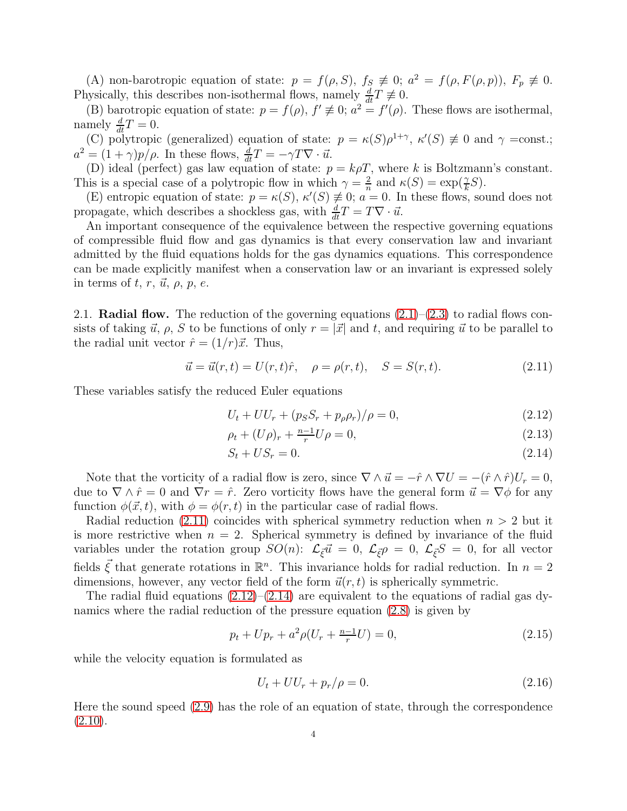(A) non-barotropic equation of state:  $p = f(\rho, S)$ ,  $f_S \neq 0$ ;  $a^2 = f(\rho, F(\rho, p))$ ,  $F_p \neq 0$ . Physically, this describes non-isothermal flows, namely  $\frac{d}{dt}T \neq 0$ .

(B) barotropic equation of state:  $p = f(\rho)$ ,  $f' \neq 0$ ;  $a^2 = f'(\rho)$ . These flows are isothermal, namely  $\frac{d}{dt}T = 0$ .

(C) polytropic (generalized) equation of state:  $p = \kappa(S)\rho^{1+\gamma}, \ \kappa'(S) \neq 0$  and  $\gamma = \text{const.};$  $a^2 = (1 + \gamma)p/\rho$ . In these flows,  $\frac{d}{dt}T = -\gamma T \nabla \cdot \vec{u}$ .

(D) ideal (perfect) gas law equation of state:  $p = k \rho T$ , where k is Boltzmann's constant. This is a special case of a polytropic flow in which  $\gamma = \frac{2}{n}$  $\frac{2}{n}$  and  $\kappa(S) = \exp(\frac{\gamma}{k}S)$ .

(E) entropic equation of state:  $p = \kappa(S)$ ,  $\kappa'(S) \neq 0$ ;  $a = 0$ . In these flows, sound does not propagate, which describes a shockless gas, with  $\frac{d}{dt}T = T\nabla \cdot \vec{u}$ .

An important consequence of the equivalence between the respective governing equations of compressible fluid flow and gas dynamics is that every conservation law and invariant admitted by the fluid equations holds for the gas dynamics equations. This correspondence can be made explicitly manifest when a conservation law or an invariant is expressed solely in terms of t, r,  $\vec{u}$ ,  $\rho$ , p, e.

2.1. **Radial flow.** The reduction of the governing equations  $(2.1)$ – $(2.3)$  to radial flows consists of taking  $\vec{u}, \rho$ , S to be functions of only  $r = |\vec{x}|$  and t, and requiring  $\vec{u}$  to be parallel to the radial unit vector  $\hat{r} = (1/r)\vec{x}$ . Thus,

<span id="page-3-0"></span>
$$
\vec{u} = \vec{u}(r, t) = U(r, t)\hat{r}, \quad \rho = \rho(r, t), \quad S = S(r, t).
$$
 (2.11)

These variables satisfy the reduced Euler equations

$$
U_t + U U_r + (p_S S_r + p_\rho \rho_r) / \rho = 0,
$$
\n(2.12)

<span id="page-3-2"></span><span id="page-3-1"></span>
$$
\rho_t + (U\rho)_r + \frac{n-1}{r}U\rho = 0,\tag{2.13}
$$

$$
S_t + US_r = 0.\t\t(2.14)
$$

Note that the vorticity of a radial flow is zero, since  $\nabla \wedge \vec{u} = -\hat{r} \wedge \nabla U = -(\hat{r} \wedge \hat{r})U_r = 0$ , due to  $\nabla \wedge \hat{r} = 0$  and  $\nabla r = \hat{r}$ . Zero vorticity flows have the general form  $\vec{u} = \nabla \phi$  for any function  $\phi(\vec{x}, t)$ , with  $\phi = \phi(r, t)$  in the particular case of radial flows.

Radial reduction  $(2.11)$  coincides with spherical symmetry reduction when  $n > 2$  but it is more restrictive when  $n = 2$ . Spherical symmetry is defined by invariance of the fluid variables under the rotation group  $SO(n)$ :  $\mathcal{L}_{\vec{\xi}}\vec{u} = 0$ ,  $\mathcal{L}_{\vec{\xi}}\rho = 0$ ,  $\mathcal{L}_{\vec{\xi}}S = 0$ , for all vector fields  $\vec{\xi}$  that generate rotations in  $\mathbb{R}^n$ . This invariance holds for radial reduction. In  $n=2$ dimensions, however, any vector field of the form  $\vec{u}(r, t)$  is spherically symmetric.

The radial fluid equations  $(2.12)$ – $(2.14)$  are equivalent to the equations of radial gas dynamics where the radial reduction of the pressure equation [\(2.8\)](#page-2-5) is given by

$$
p_t + Up_r + a^2 \rho (U_r + \frac{n-1}{r} U) = 0,\t\t(2.15)
$$

while the velocity equation is formulated as

$$
U_t + U U_r + p_r / \rho = 0. \tag{2.16}
$$

Here the sound speed [\(2.9\)](#page-2-7) has the role of an equation of state, through the correspondence  $(2.10).$  $(2.10).$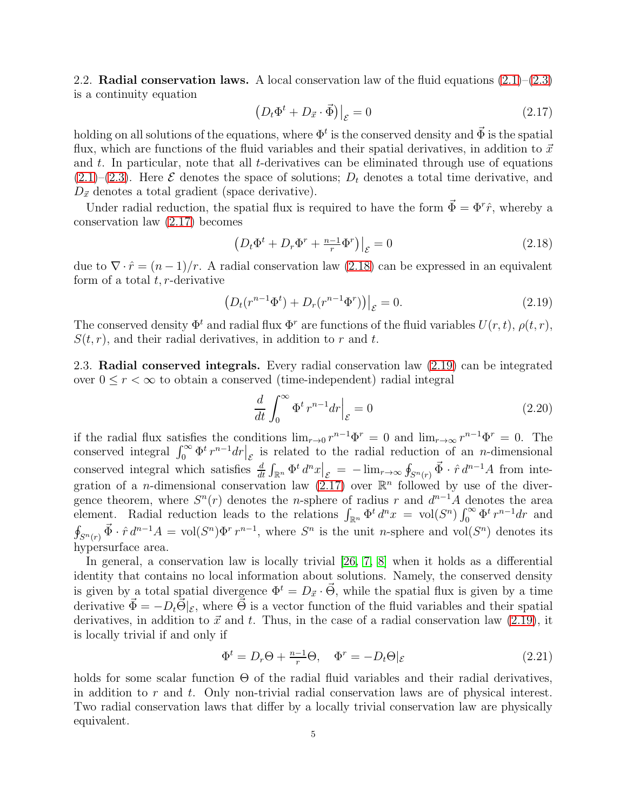2.2. **Radial conservation laws.** A local conservation law of the fluid equations  $(2.1)$ – $(2.3)$ is a continuity equation

<span id="page-4-0"></span>
$$
\left(D_t \Phi^t + D_{\vec{x}} \cdot \vec{\Phi}\right)|_{\mathcal{E}} = 0\tag{2.17}
$$

holding on all solutions of the equations, where  $\Phi^t$  is the conserved density and  $\vec{\Phi}$  is the spatial flux, which are functions of the fluid variables and their spatial derivatives, in addition to  $\vec{x}$ and  $t$ . In particular, note that all  $t$ -derivatives can be eliminated through use of equations  $(2.1)$ – $(2.3)$ . Here  $\mathcal E$  denotes the space of solutions;  $D_t$  denotes a total time derivative, and  $D_{\vec{x}}$  denotes a total gradient (space derivative).

Under radial reduction, the spatial flux is required to have the form  $\vec{\Phi} = \Phi^r \hat{r}$ , whereby a conservation law [\(2.17\)](#page-4-0) becomes

<span id="page-4-1"></span>
$$
\left(D_t \Phi^t + D_r \Phi^r + \frac{n-1}{r} \Phi^r\right)\Big|_{\mathcal{E}} = 0\tag{2.18}
$$

due to  $\nabla \cdot \hat{r} = (n-1)/r$ . A radial conservation law [\(2.18\)](#page-4-1) can be expressed in an equivalent form of a total  $t, r$ -derivative

<span id="page-4-2"></span>
$$
(D_t(r^{n-1}\Phi^t) + D_r(r^{n-1}\Phi^r))\Big|_{\mathcal{E}} = 0.
$$
\n(2.19)

The conserved density  $\Phi^t$  and radial flux  $\Phi^r$  are functions of the fluid variables  $U(r, t)$ ,  $\rho(t, r)$ ,  $S(t, r)$ , and their radial derivatives, in addition to r and t.

2.3. Radial conserved integrals. Every radial conservation law [\(2.19\)](#page-4-2) can be integrated over  $0 \leq r < \infty$  to obtain a conserved (time-independent) radial integral

$$
\frac{d}{dt} \int_0^\infty \Phi^t r^{n-1} dr \Big|_{\mathcal{E}} = 0 \tag{2.20}
$$

if the radial flux satisfies the conditions  $\lim_{r\to 0} r^{n-1} \Phi^r = 0$  and  $\lim_{r\to \infty} r^{n-1} \Phi^r = 0$ . The conserved integral  $\int_0^\infty \Phi^t r^{n-1} dr \Big|_{\mathcal{E}}$  is related to the radial reduction of an *n*-dimensional conserved integral which satisfies  $\frac{d}{dt}\int_{\mathbb{R}^n}\Phi^t d^n x\Big|_{\mathcal{E}} = -\lim_{r\to\infty}\oint_{S^n(r)}\vec{\Phi}\cdot\hat{r} d^{n-1}A$  from integration of a *n*-dimensional conservation law  $(2.17)$  over  $\mathbb{R}^n$  followed by use of the divergence theorem, where  $S<sup>n</sup>(r)$  denotes the *n*-sphere of radius r and  $d<sup>n-1</sup>A$  denotes the area element. Radial reduction leads to the relations  $\int_{\mathbb{R}^n} \Phi^t d^n x = \text{vol}(S^n) \int_0^\infty \Phi^t r^{n-1} dr$  and  $\oint_{S^n(r)} \vec{\Phi} \cdot \hat{r} d^{n-1}A = \text{vol}(S^n) \Phi^r r^{n-1}$ , where  $S^n$  is the unit *n*-sphere and vol( $S^n$ ) denotes its hypersurface area.

In general, a conservation law is locally trivial [\[26,](#page-16-14) [7,](#page-15-11) [8\]](#page-15-12) when it holds as a differential identity that contains no local information about solutions. Namely, the conserved density is given by a total spatial divergence  $\Phi^t = D_{\vec{x}} \cdot \vec{\Theta}$ , while the spatial flux is given by a time derivative  $\vec{\Phi} = -D_t \vec{\Theta}|_{\mathcal{E}}$ , where  $\vec{\Theta}$  is a vector function of the fluid variables and their spatial derivatives, in addition to  $\vec{x}$  and t. Thus, in the case of a radial conservation law [\(2.19\)](#page-4-2), it is locally trivial if and only if

$$
\Phi^t = D_r \Theta + \frac{n-1}{r} \Theta, \quad \Phi^r = -D_t \Theta \vert_{\mathcal{E}} \tag{2.21}
$$

holds for some scalar function  $\Theta$  of the radial fluid variables and their radial derivatives, in addition to r and t. Only non-trivial radial conservation laws are of physical interest. Two radial conservation laws that differ by a locally trivial conservation law are physically equivalent.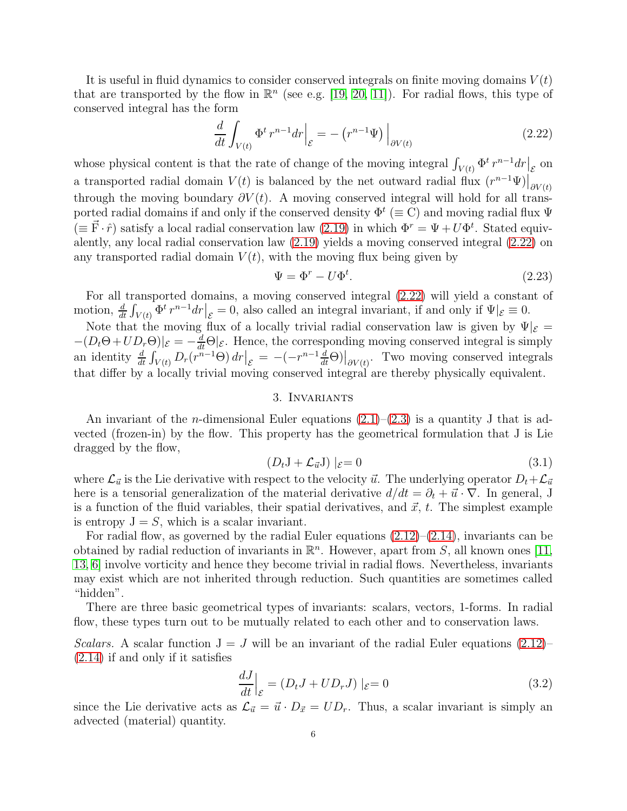It is useful in fluid dynamics to consider conserved integrals on finite moving domains  $V(t)$ that are transported by the flow in  $\mathbb{R}^n$  (see e.g. [\[19,](#page-16-15) [20,](#page-16-16) [11\]](#page-15-7)). For radial flows, this type of conserved integral has the form

<span id="page-5-1"></span>
$$
\frac{d}{dt} \int_{V(t)} \Phi^t r^{n-1} dr \Big|_{\mathcal{E}} = - \left( r^{n-1} \Psi \right) \Big|_{\partial V(t)} \tag{2.22}
$$

whose physical content is that the rate of change of the moving integral  $\int_{V(t)} \Phi^t r^{n-1} dr \Big|_{\mathcal{E}}$  on a transported radial domain  $V(t)$  is balanced by the net outward radial flux  $(r^{n-1}\Psi)|_{\partial V(t)}$ through the moving boundary  $\partial V(t)$ . A moving conserved integral will hold for all transported radial domains if and only if the conserved density  $\Phi^t (\equiv C)$  and moving radial flux  $\Psi$  $(\equiv \vec{F} \cdot \hat{r})$  satisfy a local radial conservation law [\(2.19\)](#page-4-2) in which  $\Phi^r = \Psi + U \Phi^t$ . Stated equivalently, any local radial conservation law [\(2.19\)](#page-4-2) yields a moving conserved integral [\(2.22\)](#page-5-1) on any transported radial domain  $V(t)$ , with the moving flux being given by

$$
\Psi = \Phi^r - U\Phi^t. \tag{2.23}
$$

For all transported domains, a moving conserved integral [\(2.22\)](#page-5-1) will yield a constant of motion,  $\frac{d}{dt} \int_{V(t)} \Phi^t r^{n-1} dr \Big|_{\mathcal{E}} = 0$ , also called an integral invariant, if and only if  $\Psi |_{\mathcal{E}} \equiv 0$ .

Note that the moving flux of a locally trivial radial conservation law is given by  $\Psi|_{\mathcal{E}} =$  $-(D_t\Theta + UD_r\Theta)|_{\mathcal{E}} = -\frac{d}{dt}\Theta|_{\mathcal{E}}$ . Hence, the corresponding moving conserved integral is simply an identity  $\frac{d}{dt} \int_{V(t)} D_r(r^{n-1}\Theta) dr \Big|_{\mathcal{E}} = -(-r^{n-1}\frac{d}{dt}\Theta) \Big|_{\partial V(t)}$ . Two moving conserved integrals that differ by a locally trivial moving conserved integral are thereby physically equivalent.

## 3. Invariants

<span id="page-5-0"></span>An invariant of the *n*-dimensional Euler equations  $(2.1)$ – $(2.3)$  is a quantity J that is advected (frozen-in) by the flow. This property has the geometrical formulation that J is Lie dragged by the flow,

$$
(D_t \mathbf{J} + \mathcal{L}_{\vec{u}} \mathbf{J}) \mid_{\mathcal{E}} = 0 \tag{3.1}
$$

where  $\mathcal{L}_{\vec{u}}$  is the Lie derivative with respect to the velocity  $\vec{u}$ . The underlying operator  $D_t+\mathcal{L}_{\vec{u}}$ here is a tensorial generalization of the material derivative  $d/dt = \partial_t + \vec{u} \cdot \nabla$ . In general, J is a function of the fluid variables, their spatial derivatives, and  $\vec{x}$ ,  $t$ . The simplest example is entropy  $J = S$ , which is a scalar invariant.

For radial flow, as governed by the radial Euler equations  $(2.12)$ – $(2.14)$ , invariants can be obtained by radial reduction of invariants in  $\mathbb{R}^n$ . However, apart from S, all known ones [\[11,](#page-15-7) [13,](#page-15-4) [6\]](#page-15-8) involve vorticity and hence they become trivial in radial flows. Nevertheless, invariants may exist which are not inherited through reduction. Such quantities are sometimes called "hidden".

There are three basic geometrical types of invariants: scalars, vectors, 1-forms. In radial flow, these types turn out to be mutually related to each other and to conservation laws.

Scalars. A scalar function  $J = J$  will be an invariant of the radial Euler equations [\(2.12\)](#page-3-1)– [\(2.14\)](#page-3-2) if and only if it satisfies

<span id="page-5-2"></span>
$$
\left. \frac{dJ}{dt} \right|_{\mathcal{E}} = (D_t J + U D_r J) \mid_{\mathcal{E}} = 0 \tag{3.2}
$$

since the Lie derivative acts as  $\mathcal{L}_{\vec{u}} = \vec{u} \cdot D_{\vec{x}} = UD_r$ . Thus, a scalar invariant is simply an advected (material) quantity.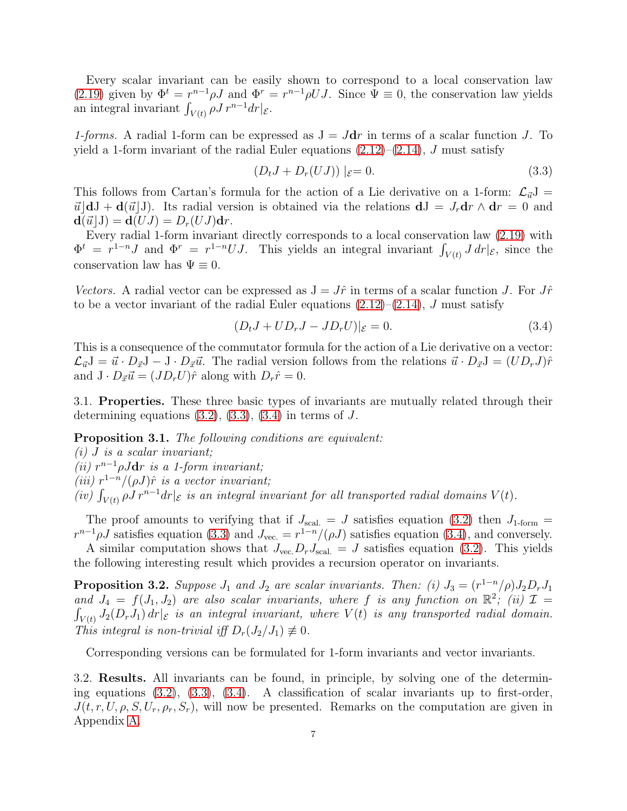Every scalar invariant can be easily shown to correspond to a local conservation law [\(2.19\)](#page-4-2) given by  $\Phi^t = r^{n-1} \rho J$  and  $\Phi^r = r^{n-1} \rho U J$ . Since  $\Psi \equiv 0$ , the conservation law yields an integral invariant  $\int_{V(t)} \rho J r^{n-1} dr |_{\mathcal{E}}$ .

1-forms. A radial 1-form can be expressed as  $J = Jdr$  in terms of a scalar function J. To yield a 1-form invariant of the radial Euler equations  $(2.12)$ – $(2.14)$ , J must satisfy

<span id="page-6-0"></span>
$$
(D_t J + D_r (U J)) |_{\mathcal{E}} = 0.
$$
\n(3.3)

This follows from Cartan's formula for the action of a Lie derivative on a 1-form:  $\mathcal{L}_{\vec{u}}J =$  $\vec{u}$  dJ + d( $\vec{u}$ ]). Its radial version is obtained via the relations  $dJ = J_r dr \wedge dr = 0$  and  $\mathbf{d}(\vec{u}\,|\,J) = \mathbf{d}(UJ) = D_r(UJ)\mathbf{d}r.$ 

Every radial 1-form invariant directly corresponds to a local conservation law [\(2.19\)](#page-4-2) with  $\Phi^t = r^{1-n}J$  and  $\Phi^r = r^{1-n}UJ$ . This yields an integral invariant  $\int_{V(t)} J dr |_{\mathcal{E}}$ , since the conservation law has  $\Psi \equiv 0$ .

Vectors. A radial vector can be expressed as  $J = J\hat{r}$  in terms of a scalar function J. For  $J\hat{r}$ to be a vector invariant of the radial Euler equations  $(2.12)$ – $(2.14)$ , J must satisfy

<span id="page-6-1"></span>
$$
(D_t J + U D_r J - J D_r U)|_{\mathcal{E}} = 0.
$$
\n(3.4)

This is a consequence of the commutator formula for the action of a Lie derivative on a vector:  $\mathcal{L}_{\vec{u}}J = \vec{u} \cdot D_{\vec{x}}J - J \cdot D_{\vec{x}}\vec{u}$ . The radial version follows from the relations  $\vec{u} \cdot D_{\vec{x}}J = (UD_rJ)\hat{r}$ and  $J \cdot D_{\vec{x}} \vec{u} = (JD_r U)\hat{r}$  along with  $D_r \hat{r} = 0$ .

3.1. Properties. These three basic types of invariants are mutually related through their determining equations  $(3.2)$ ,  $(3.3)$ ,  $(3.4)$  in terms of J.

<span id="page-6-3"></span>Proposition 3.1. The following conditions are equivalent:

- $(i)$  J is a scalar invariant; (ii)  $r^{n-1}\rho Jdr$  is a 1-form invariant;
- (iii)  $r^{1-n}/(\rho J)\hat{r}$  is a vector invariant;
- (iv)  $\int_{V(t)} \rho J r^{n-1} dr|_{\mathcal{E}}$  is an integral invariant for all transported radial domains  $V(t)$ .

The proof amounts to verifying that if  $J_{\text{scal}} = J$  satisfies equation [\(3.2\)](#page-5-2) then  $J_{1\text{-form}} =$  $r^{n-1}\rho J$  satisfies equation [\(3.3\)](#page-6-0) and  $J_{\text{vec.}} = r^{1-n}/(\rho J)$  satisfies equation [\(3.4\)](#page-6-1), and conversely.

A similar computation shows that  $J_{\text{vec}} D_r J_{\text{scal}} = J$  satisfies equation [\(3.2\)](#page-5-2). This yields the following interesting result which provides a recursion operator on invariants.

<span id="page-6-2"></span>**Proposition 3.2.** Suppose  $J_1$  and  $J_2$  are scalar invariants. Then: (i)  $J_3 = (r^{1-n}/\rho)J_2D_rJ_1$ and  $J_4 = f(J_1, J_2)$  are also scalar invariants, where f is any function on  $\mathbb{R}^2$ ; (ii)  $\mathcal{I} =$  $\int_{V(t)} J_2(D_r J_1) \, dr|_{\mathcal{E}}$  is an integral invariant, where  $V(t)$  is any transported radial domain. This integral is non-trivial iff  $D_r(J_2/J_1) \not\equiv 0$ .

Corresponding versions can be formulated for 1-form invariants and vector invariants.

3.2. Results. All invariants can be found, in principle, by solving one of the determining equations [\(3.2\)](#page-5-2), [\(3.3\)](#page-6-0), [\(3.4\)](#page-6-1). A classification of scalar invariants up to first-order,  $J(t, r, U, \rho, S, U_r, \rho_r, S_r)$ , will now be presented. Remarks on the computation are given in Appendix [A.](#page-13-0)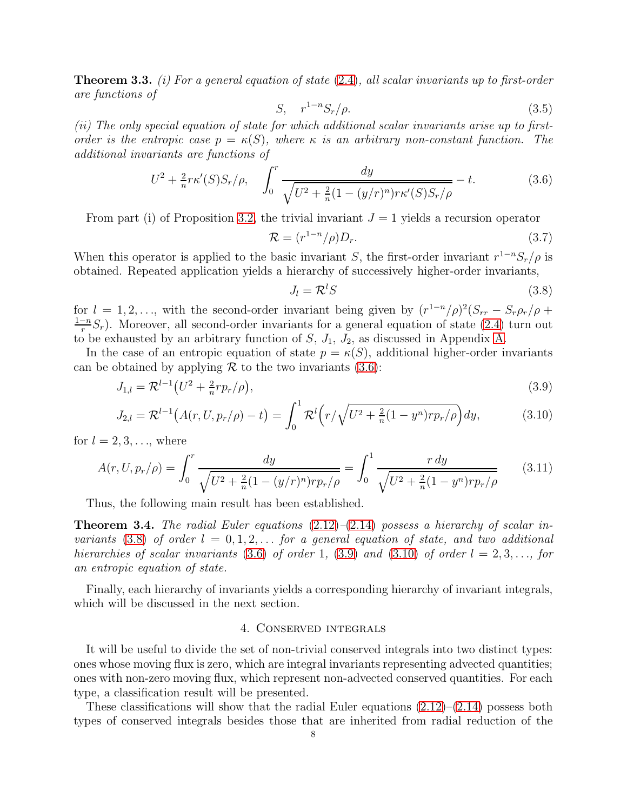<span id="page-7-5"></span>**Theorem 3.3.** (i) For a general equation of state  $(2.4)$ , all scalar invariants up to first-order are functions of

$$
S, \quad r^{1-n} S_r / \rho. \tag{3.5}
$$

(ii) The only special equation of state for which additional scalar invariants arise up to firstorder is the entropic case  $p = \kappa(S)$ , where  $\kappa$  is an arbitrary non-constant function. The additional invariants are functions of

<span id="page-7-1"></span>
$$
U^{2} + \frac{2}{n} r \kappa'(S) S_{r}/\rho, \quad \int_{0}^{r} \frac{dy}{\sqrt{U^{2} + \frac{2}{n}(1 - (y/r)^{n}) r \kappa'(S) S_{r}/\rho}} - t.
$$
 (3.6)

From part (i) of Proposition [3.2,](#page-6-2) the trivial invariant  $J = 1$  yields a recursion operator

<span id="page-7-7"></span>
$$
\mathcal{R} = (r^{1-n}/\rho)D_r. \tag{3.7}
$$

When this operator is applied to the basic invariant S, the first-order invariant  $r^{1-n}S_r/\rho$  is obtained. Repeated application yields a hierarchy of successively higher-order invariants,

<span id="page-7-4"></span><span id="page-7-3"></span><span id="page-7-2"></span>
$$
J_l = \mathcal{R}^l S \tag{3.8}
$$

for  $l = 1, 2, \ldots$ , with the second-order invariant being given by  $(r^{1-n}/\rho)^2 (S_{rr} - S_r \rho_r/\rho +$  $1-n$  $\frac{1-n}{r}S_r$ ). Moreover, all second-order invariants for a general equation of state [\(2.4\)](#page-2-3) turn out to be exhausted by an arbitrary function of  $S$ ,  $J_1$ ,  $J_2$ , as discussed in Appendix [A.](#page-13-0)

In the case of an entropic equation of state  $p = \kappa(S)$ , additional higher-order invariants can be obtained by applying  $\mathcal R$  to the two invariants [\(3.6\)](#page-7-1):

$$
J_{1,l} = \mathcal{R}^{l-1} \left( U^2 + \frac{2}{n} r p_r / \rho \right), \tag{3.9}
$$

$$
J_{2,l} = \mathcal{R}^{l-1}(A(r, U, p_r/\rho) - t) = \int_0^1 \mathcal{R}^l(r/\sqrt{U^2 + \frac{2}{n}(1 - y^n)r p_r/\rho}) dy,
$$
(3.10)

for  $l = 2, 3, \ldots$ , where

<span id="page-7-6"></span>
$$
A(r, U, p_r/\rho) = \int_0^r \frac{dy}{\sqrt{U^2 + \frac{2}{n}(1 - (y/r)^n)rp_r/\rho}} = \int_0^1 \frac{r \, dy}{\sqrt{U^2 + \frac{2}{n}(1 - y^n)rp_r/\rho}} \tag{3.11}
$$

Thus, the following main result has been established.

**Theorem 3.4.** The radial Euler equations  $(2.12)$ – $(2.14)$  possess a hierarchy of scalar invariants  $(3.8)$  of order  $l = 0, 1, 2, \ldots$  for a general equation of state, and two additional hierarchies of scalar invariants [\(3.6\)](#page-7-1) of order 1, [\(3.9\)](#page-7-3) and [\(3.10\)](#page-7-4) of order  $l = 2, 3, \ldots$ , for an entropic equation of state.

<span id="page-7-0"></span>Finally, each hierarchy of invariants yields a corresponding hierarchy of invariant integrals, which will be discussed in the next section.

## 4. Conserved integrals

It will be useful to divide the set of non-trivial conserved integrals into two distinct types: ones whose moving flux is zero, which are integral invariants representing advected quantities; ones with non-zero moving flux, which represent non-advected conserved quantities. For each type, a classification result will be presented.

These classifications will show that the radial Euler equations  $(2.12)$ – $(2.14)$  possess both types of conserved integrals besides those that are inherited from radial reduction of the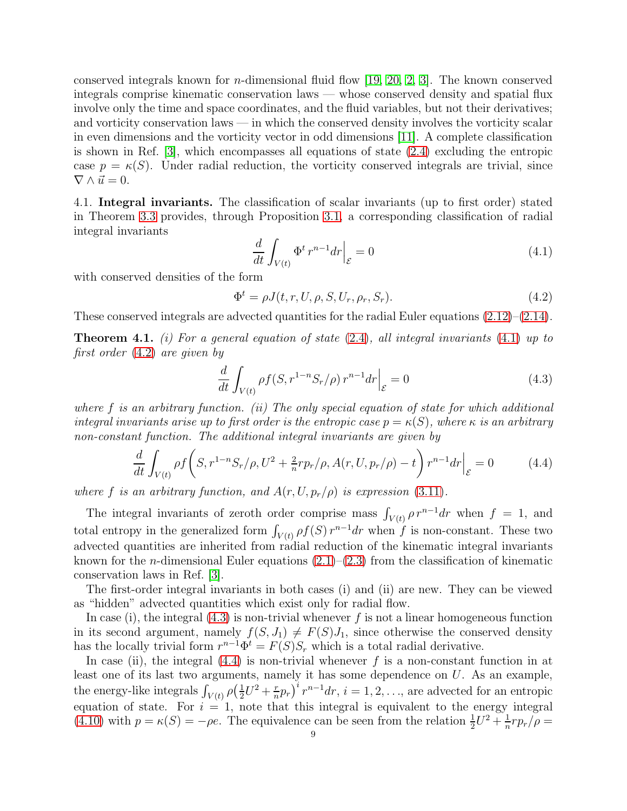conserved integrals known for *n*-dimensional fluid flow [\[19,](#page-16-15) [20,](#page-16-16) [2,](#page-15-0) [3\]](#page-15-1). The known conserved integrals comprise kinematic conservation laws — whose conserved density and spatial flux involve only the time and space coordinates, and the fluid variables, but not their derivatives; and vorticity conservation laws — in which the conserved density involves the vorticity scalar in even dimensions and the vorticity vector in odd dimensions [\[11\]](#page-15-7). A complete classification is shown in Ref. [\[3\]](#page-15-1), which encompasses all equations of state [\(2.4\)](#page-2-3) excluding the entropic case  $p = \kappa(S)$ . Under radial reduction, the vorticity conserved integrals are trivial, since  $\nabla \wedge \vec{u} = 0.$ 

<span id="page-8-0"></span>4.1. Integral invariants. The classification of scalar invariants (up to first order) stated in Theorem [3.3](#page-7-5) provides, through Proposition [3.1,](#page-6-3) a corresponding classification of radial integral invariants

<span id="page-8-1"></span>
$$
\frac{d}{dt} \int_{V(t)} \Phi^t r^{n-1} dr \Big|_{\mathcal{E}} = 0 \tag{4.1}
$$

with conserved densities of the form

<span id="page-8-2"></span>
$$
\Phi^t = \rho J(t, r, U, \rho, S, U_r, \rho_r, S_r). \tag{4.2}
$$

These conserved integrals are advected quantities for the radial Euler equations  $(2.12)$ – $(2.14)$ .

**Theorem 4.1.** (i) For a general equation of state  $(2.4)$ , all integral invariants  $(4.1)$  up to first order [\(4.2\)](#page-8-2) are given by

<span id="page-8-3"></span>
$$
\frac{d}{dt} \int_{V(t)} \rho f(S, r^{1-n} S_r/\rho) r^{n-1} dr \Big|_{\mathcal{E}} = 0 \tag{4.3}
$$

where f is an arbitrary function. (ii) The only special equation of state for which additional integral invariants arise up to first order is the entropic case  $p = \kappa(S)$ , where  $\kappa$  is an arbitrary non-constant function. The additional integral invariants are given by

<span id="page-8-4"></span>
$$
\frac{d}{dt} \int_{V(t)} \rho f\left(S, r^{1-n} S_r/\rho, U^2 + \frac{2}{n} r p_r/\rho, A(r, U, p_r/\rho) - t\right) r^{n-1} dr \Big|_{\mathcal{E}} = 0 \tag{4.4}
$$

where f is an arbitrary function, and  $A(r, U, p_r/\rho)$  is expression [\(3.11\)](#page-7-6).

The integral invariants of zeroth order comprise mass  $\int_{V(t)} \rho r^{n-1} dr$  when  $f = 1$ , and total entropy in the generalized form  $\int_{V(t)} \rho f(S) r^{n-1} dr$  when f is non-constant. These two advected quantities are inherited from radial reduction of the kinematic integral invariants known for the *n*-dimensional Euler equations  $(2.1)$ – $(2.3)$  from the classification of kinematic conservation laws in Ref. [\[3\]](#page-15-1).

The first-order integral invariants in both cases (i) and (ii) are new. They can be viewed as "hidden" advected quantities which exist only for radial flow.

In case (i), the integral  $(4.3)$  is non-trivial whenever f is not a linear homogeneous function in its second argument, namely  $f(S, J_1) \neq F(S)J_1$ , since otherwise the conserved density has the locally trivial form  $r^{n-1}\Phi^t = F(S)S_r$  which is a total radial derivative.

In case (ii), the integral  $(4.4)$  is non-trivial whenever f is a non-constant function in at least one of its last two arguments, namely it has some dependence on  $U$ . As an example, the energy-like integrals  $\int_{V(t)} \rho\left(\frac{1}{2}\right)$  $\frac{1}{2}U^2 + \frac{r}{n}$  $(\frac{r}{n}p_r)^i r^{n-1} dr$ ,  $i = 1, 2, \ldots$ , are advected for an entropic equation of state. For  $i = 1$ , note that this integral is equivalent to the energy integral [\(4.10\)](#page-10-0) with  $p = \kappa(S) = -\rho e$ . The equivalence can be seen from the relation  $\frac{1}{2}U^2 + \frac{1}{n}$  $\frac{1}{n}rp_r/\rho=$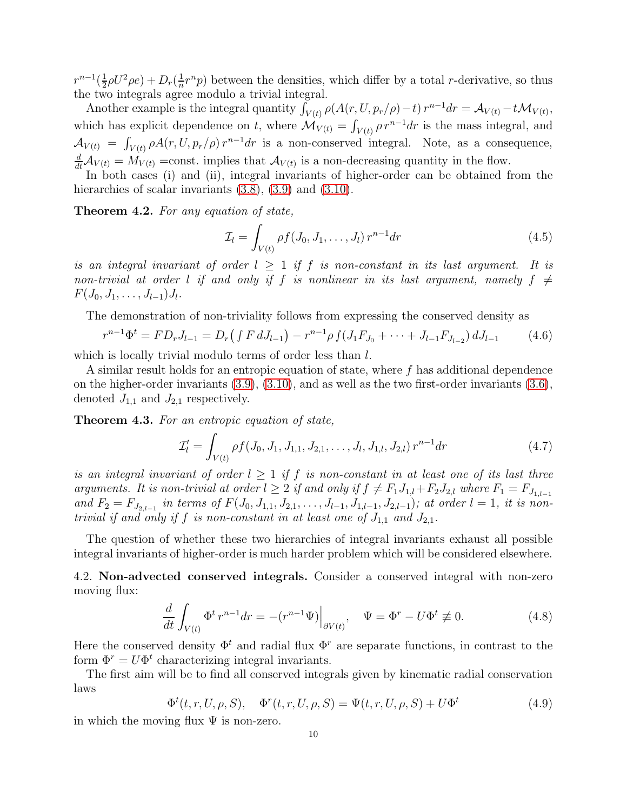$r^{n-1}(\frac{1}{2})$  $\frac{1}{2}\rho U^2 \rho e$ ) +  $D_r(\frac{1}{n})$  $\frac{1}{n}r^{n}p$ ) between the densities, which differ by a total *r*-derivative, so thus the two integrals agree modulo a trivial integral.

Another example is the integral quantity  $\int_{V(t)} \rho(A(r, U, p_r/\rho) - t) r^{n-1} dr = \mathcal{A}_{V(t)} - t \mathcal{M}_{V(t)}$ , which has explicit dependence on t, where  $\mathcal{M}_{V(t)} = \int_{V(t)} \rho r^{n-1} dr$  is the mass integral, and  $\mathcal{A}_{V(t)} = \int_{V(t)} \rho A(r, U, p_r/\rho) r^{n-1} dr$  is a non-conserved integral. Note, as a consequence,  $\frac{d}{dt}\mathcal{A}_{V(t)} = M_{V(t)}$  =const. implies that  $\mathcal{A}_{V(t)}$  is a non-decreasing quantity in the flow.

In both cases (i) and (ii), integral invariants of higher-order can be obtained from the hierarchies of scalar invariants  $(3.8)$ ,  $(3.9)$  and  $(3.10)$ .

Theorem 4.2. For any equation of state,

<span id="page-9-3"></span>
$$
\mathcal{I}_l = \int_{V(t)} \rho f(J_0, J_1, \dots, J_l) \, r^{n-1} dr \tag{4.5}
$$

is an integral invariant of order  $l \geq 1$  if f is non-constant in its last argument. It is non-trivial at order l if and only if f is nonlinear in its last argument, namely  $f \neq$  $F(J_0, J_1, \ldots, J_{l-1})J_l.$ 

The demonstration of non-triviality follows from expressing the conserved density as

$$
r^{n-1}\Phi^t = FD_rJ_{l-1} = D_r\left(\int F\,dJ_{l-1}\right) - r^{n-1}\rho\int\left(J_1F_{J_0} + \dots + J_{l-1}F_{J_{l-2}}\right)dJ_{l-1} \tag{4.6}
$$

which is locally trivial modulo terms of order less than  $l$ .

A similar result holds for an entropic equation of state, where f has additional dependence on the higher-order invariants [\(3.9\)](#page-7-3), [\(3.10\)](#page-7-4), and as well as the two first-order invariants [\(3.6\)](#page-7-1), denoted  $J_{1,1}$  and  $J_{2,1}$  respectively.

Theorem 4.3. For an entropic equation of state,

<span id="page-9-4"></span>
$$
\mathcal{I}'_l = \int_{V(t)} \rho f(J_0, J_1, J_{1,1}, J_{2,1}, \dots, J_l, J_{1,l}, J_{2,l}) r^{n-1} dr \tag{4.7}
$$

is an integral invariant of order  $l \geq 1$  if f is non-constant in at least one of its last three arguments. It is non-trivial at order  $l \geq 2$  if and only if  $f \neq F_1J_{1,l}+F_2J_{2,l}$  where  $F_1 = F_{J_{1,l-1}}$ and  $F_2 = F_{J_{2,l-1}}$  in terms of  $F(J_0, J_{1,1}, J_{2,1}, \ldots, J_{l-1}, J_{1,l-1}, J_{2,l-1})$ ; at order  $l = 1$ , it is nontrivial if and only if f is non-constant in at least one of  $J_{1,1}$  and  $J_{2,1}$ .

The question of whether these two hierarchies of integral invariants exhaust all possible integral invariants of higher-order is much harder problem which will be considered elsewhere.

<span id="page-9-0"></span>4.2. Non-advected conserved integrals. Consider a conserved integral with non-zero moving flux:

<span id="page-9-1"></span>
$$
\frac{d}{dt} \int_{V(t)} \Phi^t r^{n-1} dr = -(r^{n-1} \Psi) \Big|_{\partial V(t)}, \quad \Psi = \Phi^r - U \Phi^t \not\equiv 0.
$$
\n(4.8)

Here the conserved density  $\Phi^t$  and radial flux  $\Phi^r$  are separate functions, in contrast to the form  $\Phi^r = U \Phi^t$  characterizing integral invariants.

The first aim will be to find all conserved integrals given by kinematic radial conservation laws

<span id="page-9-2"></span>
$$
\Phi^t(t, r, U, \rho, S), \quad \Phi^r(t, r, U, \rho, S) = \Psi(t, r, U, \rho, S) + U\Phi^t
$$
\n(4.9)

in which the moving flux  $\Psi$  is non-zero.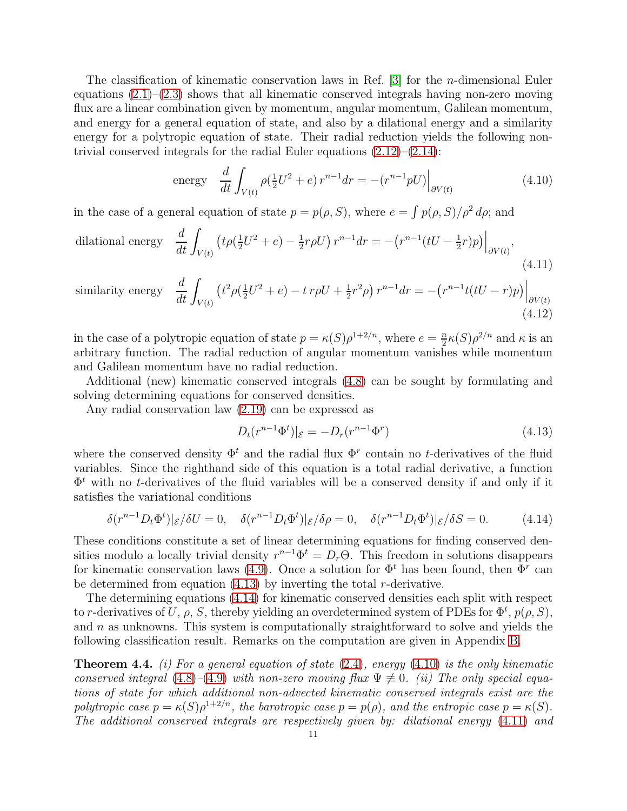The classification of kinematic conservation laws in Ref.  $[3]$  for the *n*-dimensional Euler equations  $(2.1)$ – $(2.3)$  shows that all kinematic conserved integrals having non-zero moving flux are a linear combination given by momentum, angular momentum, Galilean momentum, and energy for a general equation of state, and also by a dilational energy and a similarity energy for a polytropic equation of state. Their radial reduction yields the following nontrivial conserved integrals for the radial Euler equations  $(2.12)$ – $(2.14)$ :

<span id="page-10-0"></span>energy 
$$
\frac{d}{dt} \int_{V(t)} \rho(\frac{1}{2}U^2 + e) r^{n-1} dr = -(r^{n-1}pU) \Big|_{\partial V(t)}
$$
(4.10)

in the case of a general equation of state  $p = p(\rho, S)$ , where  $e = \int p(\rho, S)/\rho^2 d\rho$ ; and

dilational energy 
$$
\frac{d}{dt} \int_{V(t)} \left( t \rho(\frac{1}{2}U^2 + e) - \frac{1}{2} r \rho U \right) r^{n-1} dr = - \left( r^{n-1} (tU - \frac{1}{2}r) p \right) \Big|_{\partial V(t)},
$$
\n(4.11)

similarity energy 
$$
\frac{d}{dt} \int_{V(t)} \left( t^2 \rho(\frac{1}{2}U^2 + e) - t \, r \rho U + \frac{1}{2} r^2 \rho \right) r^{n-1} dr = - \left( r^{n-1} t (tU - r) p \right) \Big|_{\partial V(t)}
$$
\n(4.12)

in the case of a polytropic equation of state  $p = \kappa(S) \rho^{1+2/n}$ , where  $e = \frac{n}{2}$  $\frac{n}{2}\kappa(S)\rho^{2/n}$  and  $\kappa$  is an arbitrary function. The radial reduction of angular momentum vanishes while momentum and Galilean momentum have no radial reduction.

Additional (new) kinematic conserved integrals [\(4.8\)](#page-9-1) can be sought by formulating and solving determining equations for conserved densities.

Any radial conservation law [\(2.19\)](#page-4-2) can be expressed as

<span id="page-10-4"></span><span id="page-10-3"></span><span id="page-10-1"></span>
$$
D_t(r^{n-1}\Phi^t)|_{\mathcal{E}} = -D_r(r^{n-1}\Phi^r)
$$
\n(4.13)

where the conserved density  $\Phi^t$  and the radial flux  $\Phi^r$  contain no t-derivatives of the fluid variables. Since the righthand side of this equation is a total radial derivative, a function  $\Phi^t$  with no *t*-derivatives of the fluid variables will be a conserved density if and only if it satisfies the variational conditions

<span id="page-10-2"></span>
$$
\delta(r^{n-1}D_t\Phi^t)|_{\mathcal{E}}/\delta U = 0, \quad \delta(r^{n-1}D_t\Phi^t)|_{\mathcal{E}}/\delta \rho = 0, \quad \delta(r^{n-1}D_t\Phi^t)|_{\mathcal{E}}/\delta S = 0. \tag{4.14}
$$

These conditions constitute a set of linear determining equations for finding conserved densities modulo a locally trivial density  $r^{n-1}\Phi^t = D_r\Theta$ . This freedom in solutions disappears for kinematic conservation laws [\(4.9\)](#page-9-2). Once a solution for  $\Phi^t$  has been found, then  $\Phi^r$  can be determined from equation  $(4.13)$  by inverting the total r-derivative.

The determining equations [\(4.14\)](#page-10-2) for kinematic conserved densities each split with respect to r-derivatives of U,  $\rho$ , S, thereby yielding an overdetermined system of PDEs for  $\Phi^t$ ,  $p(\rho, S)$ , and  $n$  as unknowns. This system is computationally straightforward to solve and yields the following classification result. Remarks on the computation are given in Appendix [B.](#page-13-1)

<span id="page-10-5"></span>**Theorem 4.4.** (i) For a general equation of state  $(2.4)$ , energy  $(4.10)$  is the only kinematic conserved integral [\(4.8\)](#page-9-1)–[\(4.9\)](#page-9-2) with non-zero moving flux  $\Psi \not\equiv 0$ . (ii) The only special equations of state for which additional non-advected kinematic conserved integrals exist are the polytropic case  $p = \kappa(S) \rho^{1+2/n}$ , the barotropic case  $p = p(\rho)$ , and the entropic case  $p = \kappa(S)$ . The additional conserved integrals are respectively given by: dilational energy [\(4.11\)](#page-10-3) and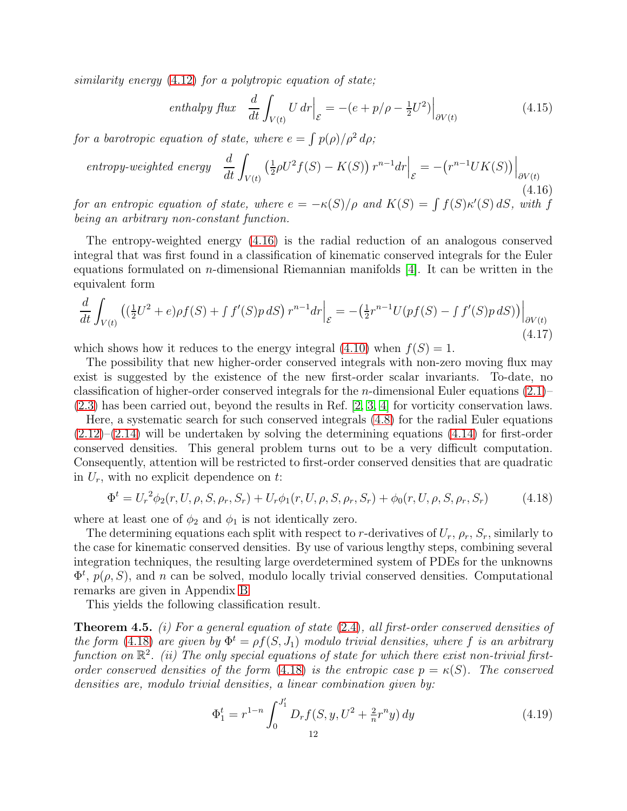similarity energy [\(4.12\)](#page-10-4) for a polytropic equation of state;

<span id="page-11-2"></span>
$$
enthalpy flux \frac{d}{dt} \int_{V(t)} U dr \Big|_{\mathcal{E}} = -(e + p/\rho - \frac{1}{2}U^2) \Big|_{\partial V(t)} \tag{4.15}
$$

for a barotropic equation of state, where  $e = \int p(\rho)/\rho^2 d\rho$ ;

<span id="page-11-0"></span>
$$
entropy-weighted\ energy\ \frac{d}{dt}\int_{V(t)}\left(\frac{1}{2}\rho U^2 f(S) - K(S)\right) r^{n-1} dr \Big|_{\mathcal{E}} = -\left(r^{n-1}UK(S)\right)\Big|_{\partial V(t)}\tag{4.16}
$$

for an entropic equation of state, where  $e = -\kappa(S)/\rho$  and  $K(S) = \int f(S) \kappa'(S) dS$ , with f being an arbitrary non-constant function.

The entropy-weighted energy [\(4.16\)](#page-11-0) is the radial reduction of an analogous conserved integral that was first found in a classification of kinematic conserved integrals for the Euler equations formulated on *n*-dimensional Riemannian manifolds  $[4]$ . It can be written in the equivalent form

$$
\frac{d}{dt} \int_{V(t)} \left( (\frac{1}{2}U^2 + e)\rho f(S) + \int f'(S)p \, dS \right) r^{n-1} dr \Big|_{\mathcal{E}} = -\left( \frac{1}{2}r^{n-1}U(pf(S) - \int f'(S)p \, dS) \right) \Big|_{\partial V(t)} \tag{4.17}
$$

which shows how it reduces to the energy integral [\(4.10\)](#page-10-0) when  $f(S) = 1$ .

The possibility that new higher-order conserved integrals with non-zero moving flux may exist is suggested by the existence of the new first-order scalar invariants. To-date, no classification of higher-order conserved integrals for the *n*-dimensional Euler equations  $(2.1)$ – [\(2.3\)](#page-2-4) has been carried out, beyond the results in Ref. [\[2,](#page-15-0) [3,](#page-15-1) [4\]](#page-15-3) for vorticity conservation laws.

Here, a systematic search for such conserved integrals [\(4.8\)](#page-9-1) for the radial Euler equations  $(2.12)$ – $(2.14)$  will be undertaken by solving the determining equations  $(4.14)$  for first-order conserved densities. This general problem turns out to be a very difficult computation. Consequently, attention will be restricted to first-order conserved densities that are quadratic in  $U_r$ , with no explicit dependence on t:

<span id="page-11-1"></span>
$$
\Phi^t = U_r^2 \phi_2(r, U, \rho, S, \rho_r, S_r) + U_r \phi_1(r, U, \rho, S, \rho_r, S_r) + \phi_0(r, U, \rho, S, \rho_r, S_r)
$$
(4.18)

where at least one of  $\phi_2$  and  $\phi_1$  is not identically zero.

The determining equations each split with respect to r-derivatives of  $U_r$ ,  $\rho_r$ ,  $S_r$ , similarly to the case for kinematic conserved densities. By use of various lengthy steps, combining several integration techniques, the resulting large overdetermined system of PDEs for the unknowns  $\Phi^t$ ,  $p(\rho, S)$ , and n can be solved, modulo locally trivial conserved densities. Computational remarks are given in Appendix [B](#page-13-1)

This yields the following classification result.

<span id="page-11-4"></span>**Theorem 4.5.** (i) For a general equation of state  $(2.4)$ , all first-order conserved densities of the form [\(4.18\)](#page-11-1) are given by  $\Phi^t = \rho f(S, J_1)$  modulo trivial densities, where f is an arbitrary function on  $\mathbb{R}^2$ . (ii) The only special equations of state for which there exist non-trivial firstorder conserved densities of the form  $(4.18)$  is the entropic case  $p = \kappa(S)$ . The conserved densities are, modulo trivial densities, a linear combination given by:

<span id="page-11-3"></span>
$$
\Phi_1^t = r^{1-n} \int_0^{J_1'} D_r f(S, y, U^2 + \frac{2}{n} r^n y) dy
$$
\n(4.19)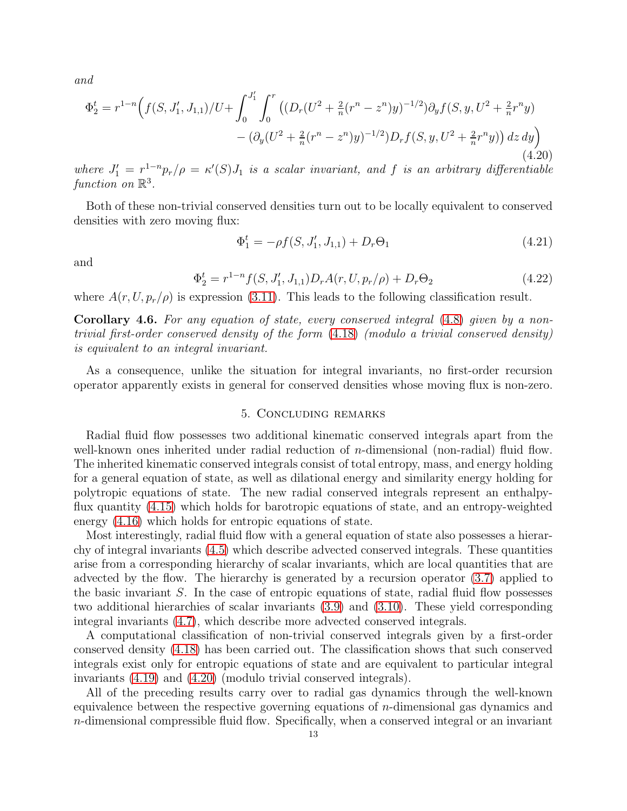and

<span id="page-12-1"></span>
$$
\Phi_2^t = r^{1-n} \Big( f(S, J_1', J_{1,1}) / U + \int_0^{J_1'} \int_0^r \left( (D_r (U^2 + \frac{2}{n} (r^n - z^n) y)^{-1/2}) \partial_y f(S, y, U^2 + \frac{2}{n} r^n y) - (\partial_y (U^2 + \frac{2}{n} (r^n - z^n) y)^{-1/2}) D_r f(S, y, U^2 + \frac{2}{n} r^n y) \right) dz dy \Big) \tag{4.20}
$$

where  $J_1' = r_1^{1-n} p_r/\rho = \kappa'(S) J_1$  is a scalar invariant, and f is an arbitrary differentiable function on  $\mathbb{R}^3$ .

Both of these non-trivial conserved densities turn out to be locally equivalent to conserved densities with zero moving flux:

$$
\Phi_1^t = -\rho f(S, J_1', J_{1,1}) + D_r \Theta_1 \tag{4.21}
$$

and

$$
\Phi_2^t = r^{1-n} f(S, J_1', J_{1,1}) D_r A(r, U, p_r/\rho) + D_r \Theta_2 \tag{4.22}
$$

where  $A(r, U, p_r/\rho)$  is expression [\(3.11\)](#page-7-6). This leads to the following classification result.

Corollary 4.6. For any equation of state, every conserved integral [\(4.8\)](#page-9-1) given by a nontrivial first-order conserved density of the form [\(4.18\)](#page-11-1) (modulo a trivial conserved density) is equivalent to an integral invariant.

<span id="page-12-0"></span>As a consequence, unlike the situation for integral invariants, no first-order recursion operator apparently exists in general for conserved densities whose moving flux is non-zero.

#### 5. Concluding remarks

Radial fluid flow possesses two additional kinematic conserved integrals apart from the well-known ones inherited under radial reduction of *n*-dimensional (non-radial) fluid flow. The inherited kinematic conserved integrals consist of total entropy, mass, and energy holding for a general equation of state, as well as dilational energy and similarity energy holding for polytropic equations of state. The new radial conserved integrals represent an enthalpyflux quantity [\(4.15\)](#page-11-2) which holds for barotropic equations of state, and an entropy-weighted energy [\(4.16\)](#page-11-0) which holds for entropic equations of state.

Most interestingly, radial fluid flow with a general equation of state also possesses a hierarchy of integral invariants [\(4.5\)](#page-9-3) which describe advected conserved integrals. These quantities arise from a corresponding hierarchy of scalar invariants, which are local quantities that are advected by the flow. The hierarchy is generated by a recursion operator [\(3.7\)](#page-7-7) applied to the basic invariant S. In the case of entropic equations of state, radial fluid flow possesses two additional hierarchies of scalar invariants [\(3.9\)](#page-7-3) and [\(3.10\)](#page-7-4). These yield corresponding integral invariants [\(4.7\)](#page-9-4), which describe more advected conserved integrals.

A computational classification of non-trivial conserved integrals given by a first-order conserved density [\(4.18\)](#page-11-1) has been carried out. The classification shows that such conserved integrals exist only for entropic equations of state and are equivalent to particular integral invariants [\(4.19\)](#page-11-3) and [\(4.20\)](#page-12-1) (modulo trivial conserved integrals).

All of the preceding results carry over to radial gas dynamics through the well-known equivalence between the respective governing equations of  $n$ -dimensional gas dynamics and  $n$ -dimensional compressible fluid flow. Specifically, when a conserved integral or an invariant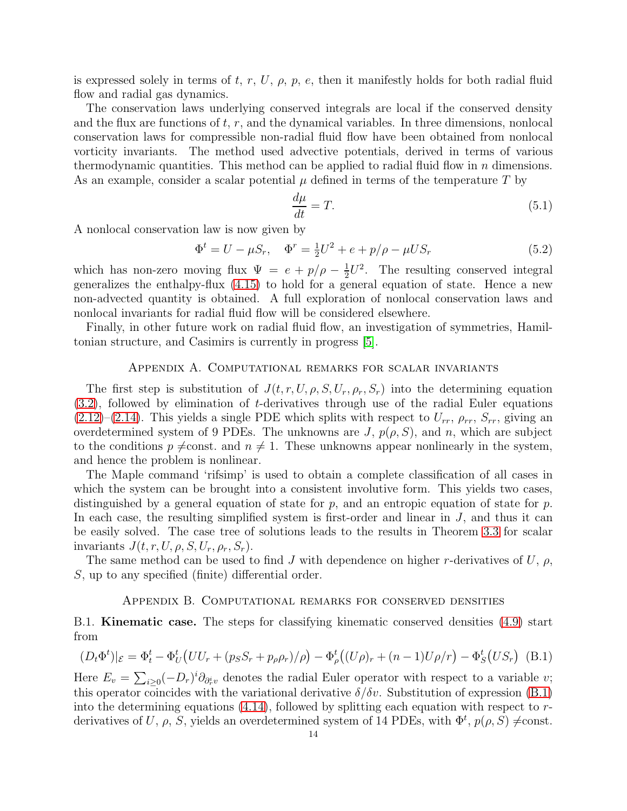is expressed solely in terms of t, r, U,  $\rho$ ,  $\rho$ , e, then it manifestly holds for both radial fluid flow and radial gas dynamics.

The conservation laws underlying conserved integrals are local if the conserved density and the flux are functions of  $t, r$ , and the dynamical variables. In three dimensions, nonlocal conservation laws for compressible non-radial fluid flow have been obtained from nonlocal vorticity invariants. The method used advective potentials, derived in terms of various thermodynamic quantities. This method can be applied to radial fluid flow in  $n$  dimensions. As an example, consider a scalar potential  $\mu$  defined in terms of the temperature T by

$$
\frac{d\mu}{dt} = T.\tag{5.1}
$$

A nonlocal conservation law is now given by

$$
\Phi^t = U - \mu S_r, \quad \Phi^r = \frac{1}{2}U^2 + e + p/\rho - \mu US_r \tag{5.2}
$$

which has non-zero moving flux  $\Psi = e + p/\rho - \frac{1}{2}$  $\frac{1}{2}U^2$ . The resulting conserved integral generalizes the enthalpy-flux [\(4.15\)](#page-11-2) to hold for a general equation of state. Hence a new non-advected quantity is obtained. A full exploration of nonlocal conservation laws and nonlocal invariants for radial fluid flow will be considered elsewhere.

<span id="page-13-0"></span>Finally, in other future work on radial fluid flow, an investigation of symmetries, Hamiltonian structure, and Casimirs is currently in progress [\[5\]](#page-15-13).

## Appendix A. Computational remarks for scalar invariants

The first step is substitution of  $J(t, r, U, \rho, S, U_r, \rho_r, S_r)$  into the determining equation [\(3.2\)](#page-5-2), followed by elimination of t-derivatives through use of the radial Euler equations  $(2.12)$ – $(2.14)$ . This yields a single PDE which splits with respect to  $U_{rr}$ ,  $\rho_{rr}$ ,  $S_{rr}$ , giving an overdetermined system of 9 PDEs. The unknowns are  $J, p(\rho, S)$ , and n, which are subject to the conditions  $p \neq$ const. and  $n \neq 1$ . These unknowns appear nonlinearly in the system, and hence the problem is nonlinear.

The Maple command 'rifsimp' is used to obtain a complete classification of all cases in which the system can be brought into a consistent involutive form. This yields two cases, distinguished by a general equation of state for p, and an entropic equation of state for p. In each case, the resulting simplified system is first-order and linear in  $J$ , and thus it can be easily solved. The case tree of solutions leads to the results in Theorem [3.3](#page-7-5) for scalar invariants  $J(t, r, U, \rho, S, U_r, \rho_r, S_r)$ .

<span id="page-13-1"></span>The same method can be used to find J with dependence on higher r-derivatives of U,  $\rho$ , S, up to any specified (finite) differential order.

#### Appendix B. Computational remarks for conserved densities

## B.1. Kinematic case. The steps for classifying kinematic conserved densities [\(4.9\)](#page-9-2) start from

<span id="page-13-2"></span>
$$
(D_t \Phi^t)|_{\mathcal{E}} = \Phi^t_t - \Phi^t_U \left( U U_r + (p_S S_r + p_\rho \rho_r) / \rho \right) - \Phi^t_\rho \left( (U \rho)_r + (n - 1) U \rho / r \right) - \Phi^t_S \left( U S_r \right) \tag{B.1}
$$

Here  $E_v = \sum_{i\geq 0} (-D_r)^i \partial_{\partial_r^i v}$  denotes the radial Euler operator with respect to a variable v; this operator coincides with the variational derivative  $\delta/\delta v$ . Substitution of expression [\(B.1\)](#page-13-2) into the determining equations  $(4.14)$ , followed by splitting each equation with respect to rderivatives of U,  $\rho$ , S, yields an overdetermined system of 14 PDEs, with  $\Phi^t$ ,  $p(\rho, S) \neq \text{const.}$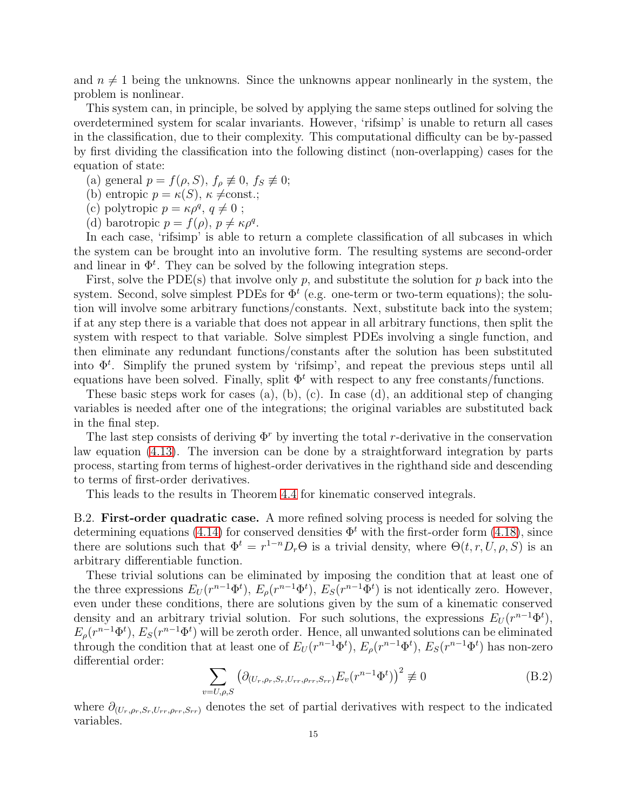and  $n \neq 1$  being the unknowns. Since the unknowns appear nonlinearly in the system, the problem is nonlinear.

This system can, in principle, be solved by applying the same steps outlined for solving the overdetermined system for scalar invariants. However, 'rifsimp' is unable to return all cases in the classification, due to their complexity. This computational difficulty can be by-passed by first dividing the classification into the following distinct (non-overlapping) cases for the equation of state:

(a) general  $p = f(\rho, S)$ ,  $f_{\rho} \not\equiv 0$ ,  $f_{S} \not\equiv 0$ ;

(b) entropic  $p = \kappa(S)$ ,  $\kappa \neq const.$ ;

(c) polytropic  $p = \kappa \rho^q$ ,  $q \neq 0$ ;

(d) barotropic  $p = f(\rho), p \neq \kappa \rho^q$ .

In each case, 'rifsimp' is able to return a complete classification of all subcases in which the system can be brought into an involutive form. The resulting systems are second-order and linear in  $\Phi^t$ . They can be solved by the following integration steps.

First, solve the PDE(s) that involve only p, and substitute the solution for p back into the system. Second, solve simplest PDEs for  $\Phi^t$  (e.g. one-term or two-term equations); the solution will involve some arbitrary functions/constants. Next, substitute back into the system; if at any step there is a variable that does not appear in all arbitrary functions, then split the system with respect to that variable. Solve simplest PDEs involving a single function, and then eliminate any redundant functions/constants after the solution has been substituted into  $\Phi^t$ . Simplify the pruned system by 'rifsimp', and repeat the previous steps until all equations have been solved. Finally, split  $\Phi^t$  with respect to any free constants/functions.

These basic steps work for cases (a), (b), (c). In case (d), an additional step of changing variables is needed after one of the integrations; the original variables are substituted back in the final step.

The last step consists of deriving  $\Phi^r$  by inverting the total r-derivative in the conservation law equation [\(4.13\)](#page-10-1). The inversion can be done by a straightforward integration by parts process, starting from terms of highest-order derivatives in the righthand side and descending to terms of first-order derivatives.

This leads to the results in Theorem [4.4](#page-10-5) for kinematic conserved integrals.

B.2. First-order quadratic case. A more refined solving process is needed for solving the determining equations [\(4.14\)](#page-10-2) for conserved densities  $\Phi^t$  with the first-order form [\(4.18\)](#page-11-1), since there are solutions such that  $\Phi^t = r^{1-n} D_r \Theta$  is a trivial density, where  $\Theta(t, r, U, \rho, S)$  is an arbitrary differentiable function.

These trivial solutions can be eliminated by imposing the condition that at least one of the three expressions  $E_U(r^{n-1}\Phi^t)$ ,  $E_\rho(r^{n-1}\Phi^t)$ ,  $E_S(r^{n-1}\Phi^t)$  is not identically zero. However, even under these conditions, there are solutions given by the sum of a kinematic conserved density and an arbitrary trivial solution. For such solutions, the expressions  $E_U(r^{n-1}\Phi^t)$ ,  $E_{\rho}(r^{n-1}\Phi^t), E_{S}(r^{n-1}\Phi^t)$  will be zeroth order. Hence, all unwanted solutions can be eliminated through the condition that at least one of  $E_U(r^{n-1}\Phi^t)$ ,  $E_\rho(r^{n-1}\Phi^t)$ ,  $E_S(r^{n-1}\Phi^t)$  has non-zero differential order:

<span id="page-14-0"></span>
$$
\sum_{v=U,\rho,S} \left( \partial_{(U_r,\rho_r,S_r,U_{rr},\rho_{rr},S_{rr})} E_v(r^{n-1}\Phi^t) \right)^2 \not\equiv 0 \tag{B.2}
$$

where  $\partial_{(U_r,\rho_r,S_r,U_{rr},\rho_{rr},S_{rr})}$  denotes the set of partial derivatives with respect to the indicated variables.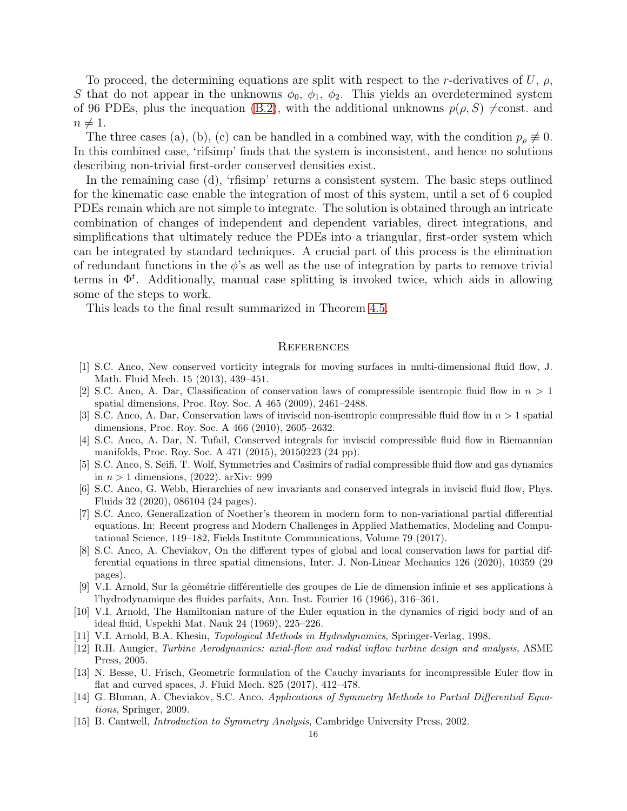To proceed, the determining equations are split with respect to the r-derivatives of U,  $\rho$ , S that do not appear in the unknowns  $\phi_0$ ,  $\phi_1$ ,  $\phi_2$ . This yields an overdetermined system of 96 PDEs, plus the inequation [\(B.2\)](#page-14-0), with the additional unknowns  $p(\rho, S) \neq \text{const.}$  and  $n \neq 1$ .

The three cases (a), (b), (c) can be handled in a combined way, with the condition  $p_{\rho} \not\equiv 0$ . In this combined case, 'rifsimp' finds that the system is inconsistent, and hence no solutions describing non-trivial first-order conserved densities exist.

In the remaining case (d), 'rfisimp' returns a consistent system. The basic steps outlined for the kinematic case enable the integration of most of this system, until a set of 6 coupled PDEs remain which are not simple to integrate. The solution is obtained through an intricate combination of changes of independent and dependent variables, direct integrations, and simplifications that ultimately reduce the PDEs into a triangular, first-order system which can be integrated by standard techniques. A crucial part of this process is the elimination of redundant functions in the  $\phi$ 's as well as the use of integration by parts to remove trivial terms in  $\Phi^t$ . Additionally, manual case splitting is invoked twice, which aids in allowing some of the steps to work.

This leads to the final result summarized in Theorem [4.5.](#page-11-4)

#### **REFERENCES**

- <span id="page-15-2"></span><span id="page-15-0"></span>[1] S.C. Anco, New conserved vorticity integrals for moving surfaces in multi-dimensional fluid flow, J. Math. Fluid Mech. 15 (2013), 439–451.
- [2] S.C. Anco, A. Dar, Classification of conservation laws of compressible isentropic fluid flow in  $n > 1$ spatial dimensions, Proc. Roy. Soc. A 465 (2009), 2461–2488.
- <span id="page-15-1"></span>[3] S.C. Anco, A. Dar, Conservation laws of inviscid non-isentropic compressible fluid flow in  $n > 1$  spatial dimensions, Proc. Roy. Soc. A 466 (2010), 2605–2632.
- <span id="page-15-3"></span>[4] S.C. Anco, A. Dar, N. Tufail, Conserved integrals for inviscid compressible fluid flow in Riemannian manifolds, Proc. Roy. Soc. A 471 (2015), 20150223 (24 pp).
- <span id="page-15-13"></span>[5] S.C. Anco, S. Seifi, T. Wolf, Symmetries and Casimirs of radial compressible fluid flow and gas dynamics in  $n > 1$  dimensions, (2022). arXiv: 999
- <span id="page-15-8"></span>[6] S.C. Anco, G. Webb, Hierarchies of new invariants and conserved integrals in inviscid fluid flow, Phys. Fluids 32 (2020), 086104 (24 pages).
- <span id="page-15-11"></span>[7] S.C. Anco, Generalization of Noether's theorem in modern form to non-variational partial differential equations. In: Recent progress and Modern Challenges in Applied Mathematics, Modeling and Computational Science, 119–182, Fields Institute Communications, Volume 79 (2017).
- <span id="page-15-12"></span>[8] S.C. Anco, A. Cheviakov, On the different types of global and local conservation laws for partial differential equations in three spatial dimensions, Inter. J. Non-Linear Mechanics 126 (2020), 10359 (29 pages).
- <span id="page-15-5"></span>[9] V.I. Arnold, Sur la géométrie différentielle des groupes de Lie de dimension infinie et ses applications à l'hydrodynamique des fluides parfaits, Ann. Inst. Fourier 16 (1966), 316–361.
- <span id="page-15-6"></span>[10] V.I. Arnold, The Hamiltonian nature of the Euler equation in the dynamics of rigid body and of an ideal fluid, Uspekhi Mat. Nauk 24 (1969), 225–226.
- <span id="page-15-10"></span><span id="page-15-7"></span>[11] V.I. Arnold, B.A. Khesin, Topological Methods in Hydrodynamics, Springer-Verlag, 1998.
- [12] R.H. Aungier, Turbine Aerodynamics: axial-flow and radial inflow turbine design and analysis, ASME Press, 2005.
- <span id="page-15-4"></span>[13] N. Besse, U. Frisch, Geometric formulation of the Cauchy invariants for incompressible Euler flow in flat and curved spaces, J. Fluid Mech. 825 (2017), 412–478.
- [14] G. Bluman, A. Cheviakov, S.C. Anco, Applications of Symmetry Methods to Partial Differential Equations, Springer, 2009.
- <span id="page-15-9"></span>[15] B. Cantwell, Introduction to Symmetry Analysis, Cambridge University Press, 2002.